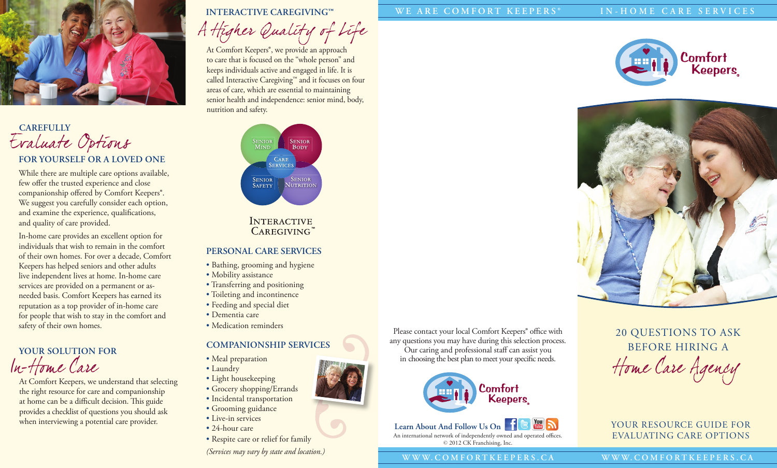

# **FOR YOURSELF OR A LOVED ONE** Evaluate Options **CAREFULLY**

While there are multiple care options available, few offer the trusted experience and close companionship offered by Comfort Keepers®. We suggest you carefully consider each option, and examine the experience, qualifications, and quality of care provided.

In-home care provides an excellent option for individuals that wish to remain in the comfort of their own homes. For over a decade, Comfort Keepers has helped seniors and other adults live independent lives at home. In-home care services are provided on a permanent or asneeded basis. Comfort Keepers has earned its reputation as a top provider of in-home care for people that wish to stay in the comfort and safety of their own homes.

**YOUR SOLUTION FOR**  ln-Hom e Care

the right resource for care and companionship at home can be a difficult decision. This guide provides a checklist of questions you should ask when interviewing a potential care provider.

### **INTERACTIVE CAREGIVING™**

A High er Quality of Life

At Comfort Keepers<sup>®</sup>, we provide an approach to care that is focused on the "whole person" and keeps individuals active and engaged in life. It is called Interactive Caregiving™ and it focuses on four areas of care, which are essential to maintaining senior health and independence: senior mind, body, nutrition and safety.



# **INTERACTIVE** CAREGIVING

## **PERSONAL CARE SERVICES**

- Bathing, grooming and hygiene
- Mobility assistance
- Transferring and positioning
- Toileting and incontinence
- Feeding and special diet
- Dementia care
- Medication reminders

# **COMPANIONSHIP SERVICES**

- Meal preparation
- Laundry
- Light housekeeping
- Grocery shopping/Errands
- Incidental transportation
- Grooming guidance
- Live-in services
- 24-hour care
- Respite care or relief for family *(Services may vary by state and location.)*

### **WE ARE COMFORT KEEPERS® IN-HOME CARE SERVICES**





20 QUESTIONS TO ASK BEFORE HIRING A  $t$ -Home Care  $t$   $\sim$  Meal preparation<br>  $t$ -Home Care Agency<br>
At Comfort Keepers, we understand that selecting<br>
the right resource for care and companionship

# YOUR RESOURCE GUIDE FOR EVALUATING CARE OPTIONS



An international network of independently owned and operated offices. © 2012 CK Franchising, Inc. **Learn About And Follow Us On**

Please contact your local Comfort Keepers® office with any questions you may have during this selection process. Our caring and professional staff can assist you<br>in choosing the best plan to meet your specific needs.

### **W W W.C O M F O RT K E E PE R S.C A W W W.C O M F O RT K E E PE R S.C A**